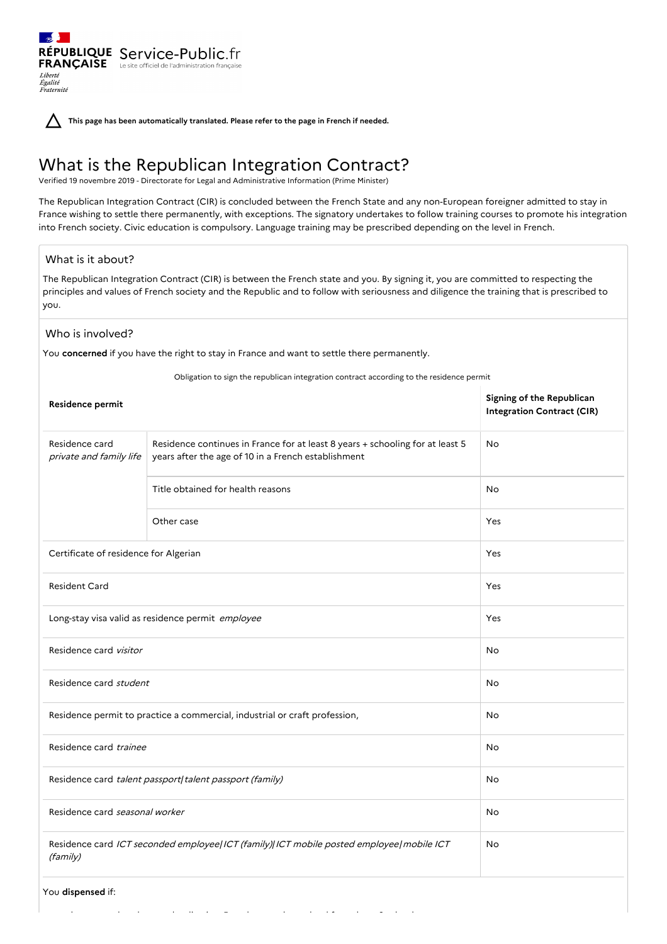**This page has been automatically translated. Please refer to the page in French if needed.**

RÉPUBLIQUE Service-Public.fr **FRANÇAISE** Le site officiel de l'administration française

# What is the Republican Integration Contract?

Verified 19 novembre 2019 - Directorate for Legal and Administrative Information (Prime Minister)

The Republican Integration Contract (CIR) is concluded between the French State and any non-European foreigner admitted to stay in France wishing to settle there permanently, with exceptions. The signatory undertakes to follow training courses to promote his integration into French society. Civic education is compulsory. Language training may be prescribed depending on the level in French.

# What is it about?

Liberté Égalité<br>Fraternité

The Republican Integration Contract (CIR) is between the French state and you. By signing it, you are committed to respecting the principles and values of French society and the Republic and to follow with seriousness and diligence the training that is prescribed to you.

#### Who is involved?

You **concerned** if you have the right to stay in France and want to settle there permanently.

you have completed your schooling in a French secondary school for at least 3 school years,

Obligation to sign the republican integration contract according to the residence permit

| Residence permit                                                                                    |                                                                                                                                      | Signing of the Republican<br><b>Integration Contract (CIR)</b> |
|-----------------------------------------------------------------------------------------------------|--------------------------------------------------------------------------------------------------------------------------------------|----------------------------------------------------------------|
| Residence card<br>private and family life                                                           | Residence continues in France for at least 8 years + schooling for at least 5<br>years after the age of 10 in a French establishment | No                                                             |
|                                                                                                     | Title obtained for health reasons                                                                                                    | No                                                             |
|                                                                                                     | Other case                                                                                                                           | Yes                                                            |
| Certificate of residence for Algerian                                                               |                                                                                                                                      | Yes                                                            |
| <b>Resident Card</b>                                                                                |                                                                                                                                      | Yes                                                            |
| Long-stay visa valid as residence permit employee                                                   |                                                                                                                                      | Yes                                                            |
| Residence card visitor                                                                              |                                                                                                                                      | No                                                             |
| Residence card student                                                                              |                                                                                                                                      | No                                                             |
| Residence permit to practice a commercial, industrial or craft profession,                          |                                                                                                                                      | No                                                             |
| Residence card trainee                                                                              |                                                                                                                                      | <b>No</b>                                                      |
| Residence card talent passport  talent passport (family)                                            |                                                                                                                                      | No                                                             |
| Residence card seasonal worker                                                                      |                                                                                                                                      | No                                                             |
| Residence card ICT seconded employee ICT (family) ICT mobile posted employee mobile ICT<br>(family) |                                                                                                                                      | No                                                             |
| You dispensed if:                                                                                   |                                                                                                                                      |                                                                |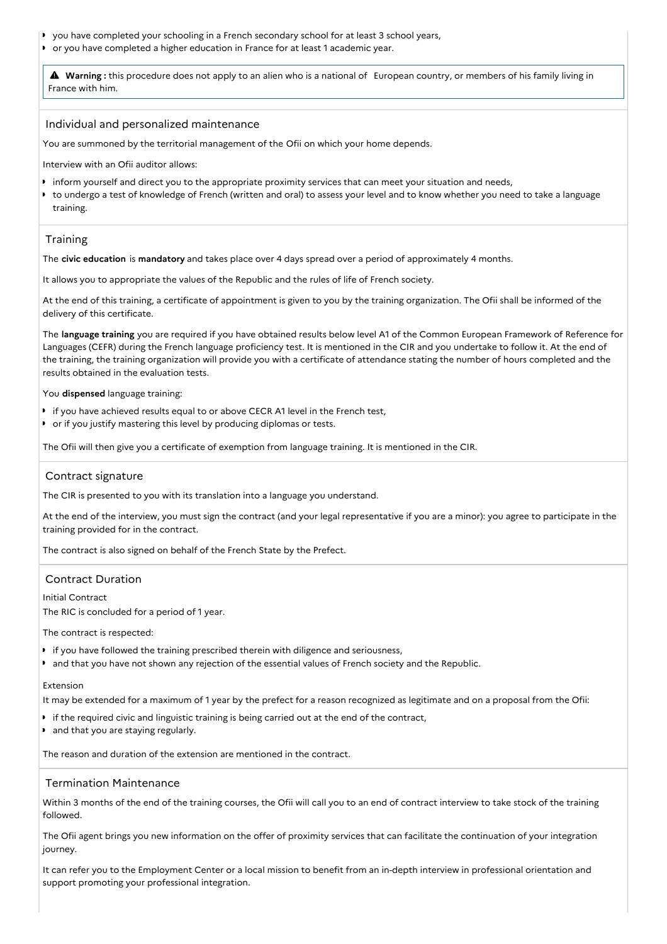- you have completed your schooling in a French secondary school for at least 3 school years,
- or you have completed a higher education in France for at least 1 academic year.

 **Warning :** this procedure does not apply to an alien who is <sup>a</sup> national of European country, or members of his family living in France with him.

#### Individual and personalized maintenance

You are summoned by the territorial management of the Ofii on which your home depends.

Interview with an Ofii auditor allows:

- inform yourself and direct you to the appropriate proximity services that can meet your situation and needs,
- $\bullet$ to undergo a test of knowledge of French (written and oral) to assess your level and to know whether you need to take a language training.

# Training

The **civic education** is **mandatory** and takes place over 4 days spread over a period of approximately 4 months.

It allows you to appropriate the values of the Republic and the rules of life of French society.

At the end of this training, a certificate of appointment is given to you by the training organization. The Ofii shall be informed of the delivery of this certificate.

The **language training** you are required if you have obtained results below level A1 of the Common European Framework of Reference for Languages (CEFR) during the French language proficiency test. It is mentioned in the CIR and you undertake to follow it. At the end of the training, the training organization will provide you with a certificate of attendance stating the number of hours completed and the results obtained in the evaluation tests.

You **dispensed** language training:

- **I** if you have achieved results equal to or above CECR A1 level in the French test,
- or if you justify mastering this level by producing diplomas or tests.

The Ofii will then give you a certificate of exemption from language training. It is mentioned in the CIR.

## Contract signature

The CIR is presented to you with its translation into a language you understand.

At the end of the interview, you must sign the contract (and your legal representative if you are a minor): you agree to participate in the training provided for in the contract.

The contract is also signed on behalf of the French State by the Prefect.

#### Contract Duration

Initial Contract

The RIC is concluded for a period of 1 year.

The contract is respected:

- **I** if you have followed the training prescribed therein with diligence and seriousness,
- and that you have not shown any rejection of the essential values of French society and the Republic.

#### Extension

It may be extended for a maximum of 1 year by the prefect for a reason recognized as legitimate and on a proposal from the Ofii:

- if the required civic and linguistic training is being carried out at the end of the contract,
- and that you are staying regularly.

The reason and duration of the extension are mentioned in the contract.

#### Termination Maintenance

Within 3 months of the end of the training courses, the Ofii will call you to an end of contract interview to take stock of the training followed.

The Ofii agent brings you new information on the offer of proximity services that can facilitate the continuation of your integration journey.

It can refer you to the Employment Center or a local mission to benefit from an in-depth interview in professional orientation and support promoting your professional integration.